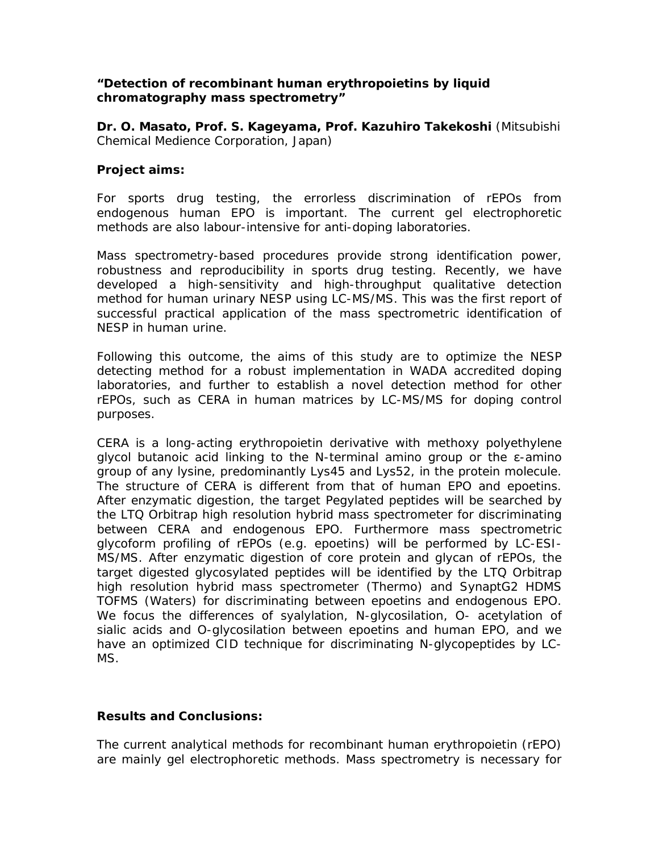## *"Detection of recombinant human erythropoietins by liquid chromatography mass spectrometry"*

**Dr. O. Masato, Prof. S. Kageyama, Prof. Kazuhiro Takekoshi** (Mitsubishi Chemical Medience Corporation, Japan)

## **Project aims:**

For sports drug testing, the errorless discrimination of rEPOs from endogenous human EPO is important. The current gel electrophoretic methods are also labour-intensive for anti-doping laboratories.

Mass spectrometry-based procedures provide strong identification power, robustness and reproducibility in sports drug testing. Recently, we have developed a high-sensitivity and high-throughput qualitative detection method for human urinary NESP using LC-MS/MS. This was the first report of successful practical application of the mass spectrometric identification of NESP in human urine.

Following this outcome, the aims of this study are to optimize the NESP detecting method for a robust implementation in WADA accredited doping laboratories, and further to establish a novel detection method for other rEPOs, such as CERA in human matrices by LC-MS/MS for doping control purposes.

CERA is a long-acting erythropoietin derivative with methoxy polyethylene glycol butanoic acid linking to the N-terminal amino group or the ε-amino group of any lysine, predominantly Lys45 and Lys52, in the protein molecule. The structure of CERA is different from that of human EPO and epoetins. After enzymatic digestion, the target Pegylated peptides will be searched by the LTQ Orbitrap high resolution hybrid mass spectrometer for discriminating between CERA and endogenous EPO. Furthermore mass spectrometric glycoform profiling of rEPOs (e.g. epoetins) will be performed by LC-ESI-MS/MS. After enzymatic digestion of core protein and glycan of rEPOs, the target digested glycosylated peptides will be identified by the LTQ Orbitrap high resolution hybrid mass spectrometer (Thermo) and SynaptG2 HDMS TOFMS (Waters) for discriminating between epoetins and endogenous EPO. We focus the differences of syalylation, N-glycosilation, O- acetylation of sialic acids and O-glycosilation between epoetins and human EPO, and we have an optimized CID technique for discriminating N-glycopeptides by LC-MS.

## **Results and Conclusions:**

The current analytical methods for recombinant human erythropoietin (rEPO) are mainly gel electrophoretic methods. Mass spectrometry is necessary for